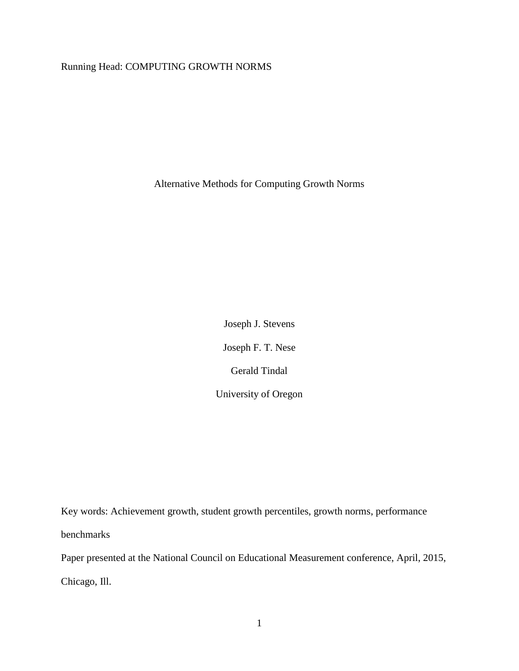# Running Head: COMPUTING GROWTH NORMS

Alternative Methods for Computing Growth Norms

Joseph J. Stevens Joseph F. T. Nese Gerald Tindal University of Oregon

Key words: Achievement growth, student growth percentiles, growth norms, performance benchmarks Paper presented at the National Council on Educational Measurement conference, April, 2015,

Chicago, Ill.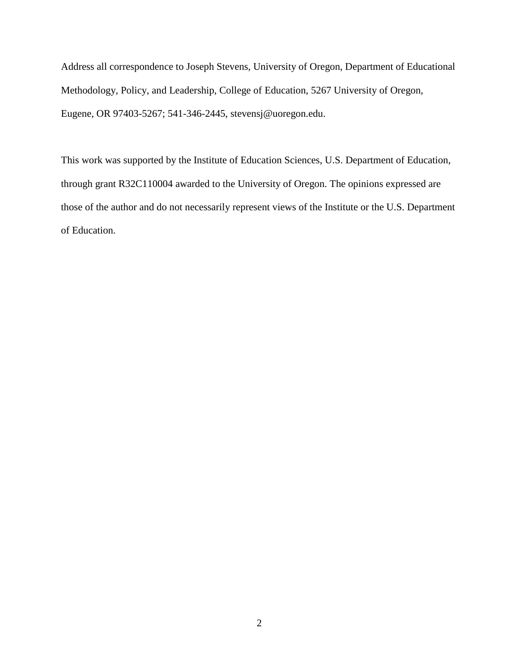Address all correspondence to Joseph Stevens, University of Oregon, Department of Educational Methodology, Policy, and Leadership, College of Education, 5267 University of Oregon, Eugene, OR 97403-5267; 541-346-2445, stevensj@uoregon.edu.

This work was supported by the Institute of Education Sciences, U.S. Department of Education, through grant R32C110004 awarded to the University of Oregon. The opinions expressed are those of the author and do not necessarily represent views of the Institute or the U.S. Department of Education.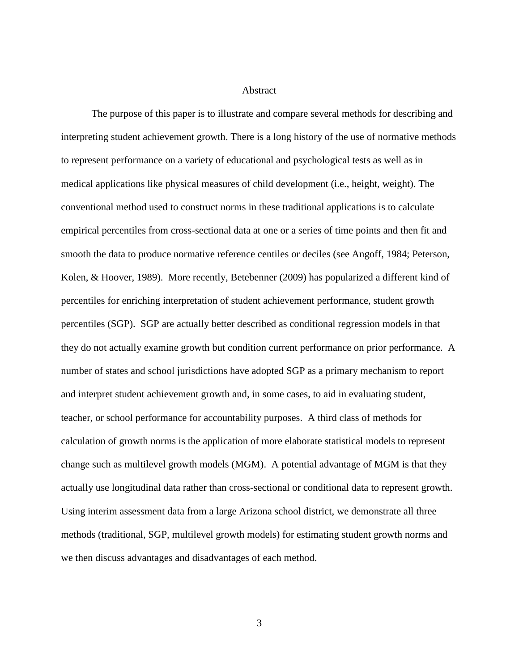### **Abstract**

The purpose of this paper is to illustrate and compare several methods for describing and interpreting student achievement growth. There is a long history of the use of normative methods to represent performance on a variety of educational and psychological tests as well as in medical applications like physical measures of child development (i.e., height, weight). The conventional method used to construct norms in these traditional applications is to calculate empirical percentiles from cross-sectional data at one or a series of time points and then fit and smooth the data to produce normative reference centiles or deciles (see Angoff, 1984; Peterson, Kolen, & Hoover, 1989). More recently, Betebenner (2009) has popularized a different kind of percentiles for enriching interpretation of student achievement performance, student growth percentiles (SGP). SGP are actually better described as conditional regression models in that they do not actually examine growth but condition current performance on prior performance. A number of states and school jurisdictions have adopted SGP as a primary mechanism to report and interpret student achievement growth and, in some cases, to aid in evaluating student, teacher, or school performance for accountability purposes. A third class of methods for calculation of growth norms is the application of more elaborate statistical models to represent change such as multilevel growth models (MGM). A potential advantage of MGM is that they actually use longitudinal data rather than cross-sectional or conditional data to represent growth. Using interim assessment data from a large Arizona school district, we demonstrate all three methods (traditional, SGP, multilevel growth models) for estimating student growth norms and we then discuss advantages and disadvantages of each method.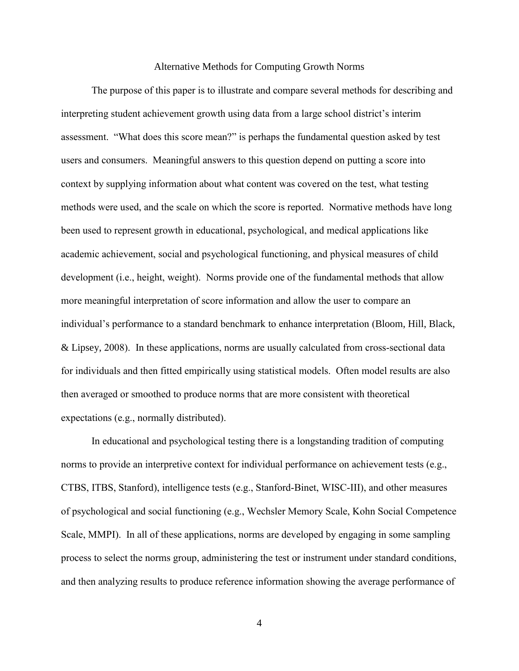#### Alternative Methods for Computing Growth Norms

The purpose of this paper is to illustrate and compare several methods for describing and interpreting student achievement growth using data from a large school district's interim assessment. "What does this score mean?" is perhaps the fundamental question asked by test users and consumers. Meaningful answers to this question depend on putting a score into context by supplying information about what content was covered on the test, what testing methods were used, and the scale on which the score is reported. Normative methods have long been used to represent growth in educational, psychological, and medical applications like academic achievement, social and psychological functioning, and physical measures of child development (i.e., height, weight). Norms provide one of the fundamental methods that allow more meaningful interpretation of score information and allow the user to compare an individual's performance to a standard benchmark to enhance interpretation (Bloom, Hill, Black, & Lipsey, 2008). In these applications, norms are usually calculated from cross-sectional data for individuals and then fitted empirically using statistical models. Often model results are also then averaged or smoothed to produce norms that are more consistent with theoretical expectations (e.g., normally distributed).

In educational and psychological testing there is a longstanding tradition of computing norms to provide an interpretive context for individual performance on achievement tests (e.g., CTBS, ITBS, Stanford), intelligence tests (e.g., Stanford-Binet, WISC-III), and other measures of psychological and social functioning (e.g., Wechsler Memory Scale, Kohn Social Competence Scale, MMPI). In all of these applications, norms are developed by engaging in some sampling process to select the norms group, administering the test or instrument under standard conditions, and then analyzing results to produce reference information showing the average performance of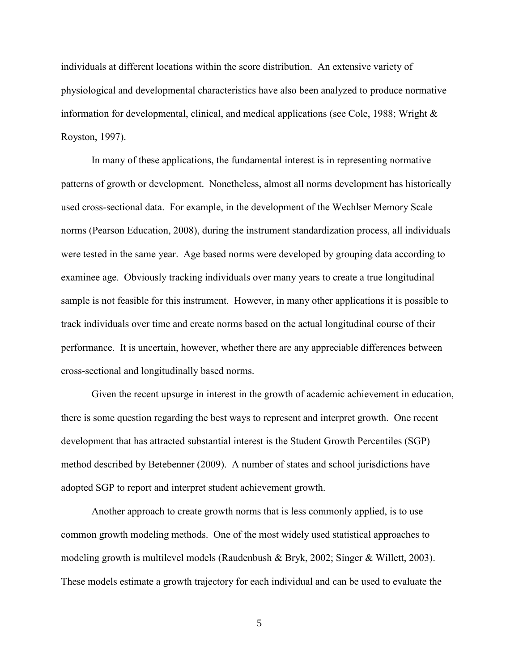individuals at different locations within the score distribution. An extensive variety of physiological and developmental characteristics have also been analyzed to produce normative information for developmental, clinical, and medical applications (see Cole, 1988; Wright & Royston, 1997).

In many of these applications, the fundamental interest is in representing normative patterns of growth or development. Nonetheless, almost all norms development has historically used cross-sectional data. For example, in the development of the Wechlser Memory Scale norms (Pearson Education, 2008), during the instrument standardization process, all individuals were tested in the same year. Age based norms were developed by grouping data according to examinee age. Obviously tracking individuals over many years to create a true longitudinal sample is not feasible for this instrument. However, in many other applications it is possible to track individuals over time and create norms based on the actual longitudinal course of their performance. It is uncertain, however, whether there are any appreciable differences between cross-sectional and longitudinally based norms.

Given the recent upsurge in interest in the growth of academic achievement in education, there is some question regarding the best ways to represent and interpret growth. One recent development that has attracted substantial interest is the Student Growth Percentiles (SGP) method described by Betebenner (2009). A number of states and school jurisdictions have adopted SGP to report and interpret student achievement growth.

Another approach to create growth norms that is less commonly applied, is to use common growth modeling methods. One of the most widely used statistical approaches to modeling growth is multilevel models (Raudenbush & Bryk, 2002; Singer & Willett, 2003). These models estimate a growth trajectory for each individual and can be used to evaluate the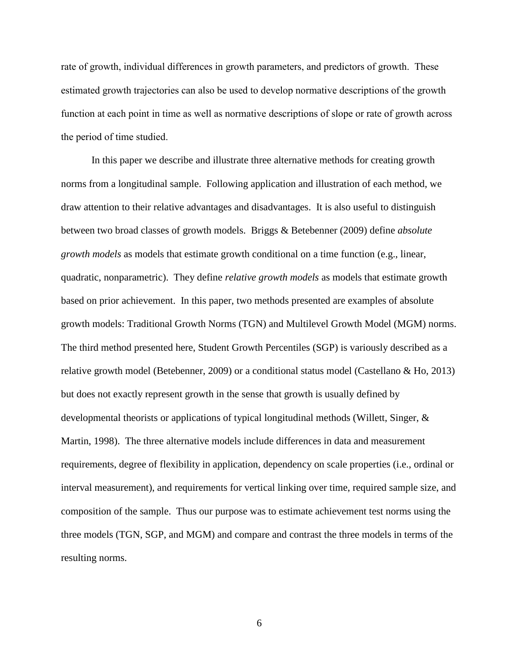rate of growth, individual differences in growth parameters, and predictors of growth. These estimated growth trajectories can also be used to develop normative descriptions of the growth function at each point in time as well as normative descriptions of slope or rate of growth across the period of time studied.

In this paper we describe and illustrate three alternative methods for creating growth norms from a longitudinal sample. Following application and illustration of each method, we draw attention to their relative advantages and disadvantages. It is also useful to distinguish between two broad classes of growth models. Briggs & Betebenner (2009) define *absolute growth models* as models that estimate growth conditional on a time function (e.g., linear, quadratic, nonparametric). They define *relative growth models* as models that estimate growth based on prior achievement. In this paper, two methods presented are examples of absolute growth models: Traditional Growth Norms (TGN) and Multilevel Growth Model (MGM) norms. The third method presented here, Student Growth Percentiles (SGP) is variously described as a relative growth model (Betebenner, 2009) or a conditional status model (Castellano & Ho, 2013) but does not exactly represent growth in the sense that growth is usually defined by developmental theorists or applications of typical longitudinal methods (Willett, Singer, & Martin, 1998). The three alternative models include differences in data and measurement requirements, degree of flexibility in application, dependency on scale properties (i.e., ordinal or interval measurement), and requirements for vertical linking over time, required sample size, and composition of the sample. Thus our purpose was to estimate achievement test norms using the three models (TGN, SGP, and MGM) and compare and contrast the three models in terms of the resulting norms.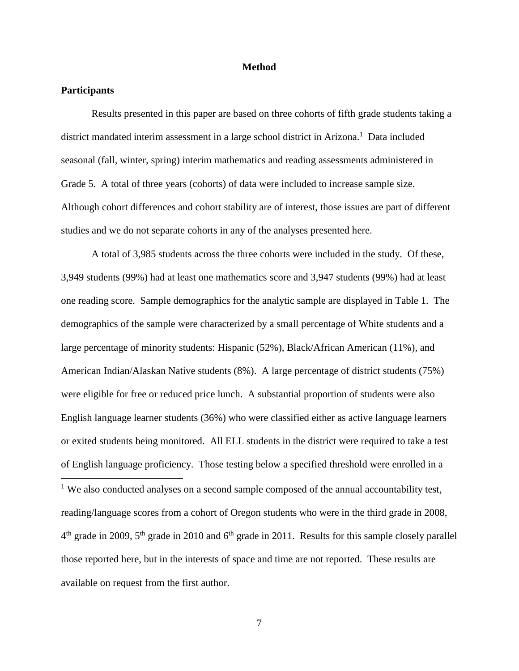### **Method**

# **Participants**

Results presented in this paper are based on three cohorts of fifth grade students taking a district mandated interim assessment in a large school district in Arizona.<sup>1</sup> Data included seasonal (fall, winter, spring) interim mathematics and reading assessments administered in Grade 5. A total of three years (cohorts) of data were included to increase sample size. Although cohort differences and cohort stability are of interest, those issues are part of different studies and we do not separate cohorts in any of the analyses presented here.

A total of 3,985 students across the three cohorts were included in the study. Of these, 3,949 students (99%) had at least one mathematics score and 3,947 students (99%) had at least one reading score. Sample demographics for the analytic sample are displayed in Table 1. The demographics of the sample were characterized by a small percentage of White students and a large percentage of minority students: Hispanic (52%), Black/African American (11%), and American Indian/Alaskan Native students (8%). A large percentage of district students (75%) were eligible for free or reduced price lunch. A substantial proportion of students were also English language learner students (36%) who were classified either as active language learners or exited students being monitored. All ELL students in the district were required to take a test of English language proficiency. Those testing below a specified threshold were enrolled in a  $\overline{a}$ <sup>1</sup> We also conducted analyses on a second sample composed of the annual accountability test,

reading/language scores from a cohort of Oregon students who were in the third grade in 2008,  $4<sup>th</sup>$  grade in 2009,  $5<sup>th</sup>$  grade in 2010 and  $6<sup>th</sup>$  grade in 2011. Results for this sample closely parallel those reported here, but in the interests of space and time are not reported. These results are available on request from the first author.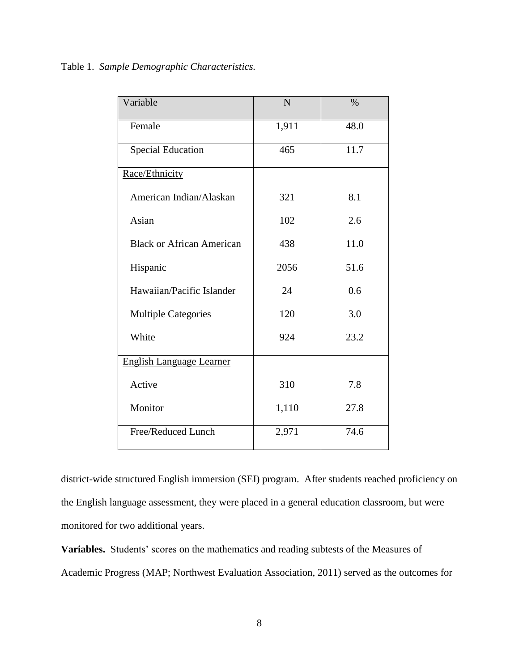| Variable                         | N     | $\%$ |
|----------------------------------|-------|------|
| Female                           | 1,911 | 48.0 |
| <b>Special Education</b>         | 465   | 11.7 |
| Race/Ethnicity                   |       |      |
| American Indian/Alaskan          | 321   | 8.1  |
| Asian                            | 102   | 2.6  |
| <b>Black or African American</b> | 438   | 11.0 |
| Hispanic                         | 2056  | 51.6 |
| Hawaiian/Pacific Islander        | 24    | 0.6  |
| <b>Multiple Categories</b>       | 120   | 3.0  |
| White                            | 924   | 23.2 |
| <b>English Language Learner</b>  |       |      |
| Active                           | 310   | 7.8  |
| Monitor                          | 1,110 | 27.8 |
| Free/Reduced Lunch               | 2,971 | 74.6 |

district-wide structured English immersion (SEI) program. After students reached proficiency on the English language assessment, they were placed in a general education classroom, but were monitored for two additional years.

**Variables.** Students' scores on the mathematics and reading subtests of the Measures of Academic Progress (MAP; Northwest Evaluation Association, 2011) served as the outcomes for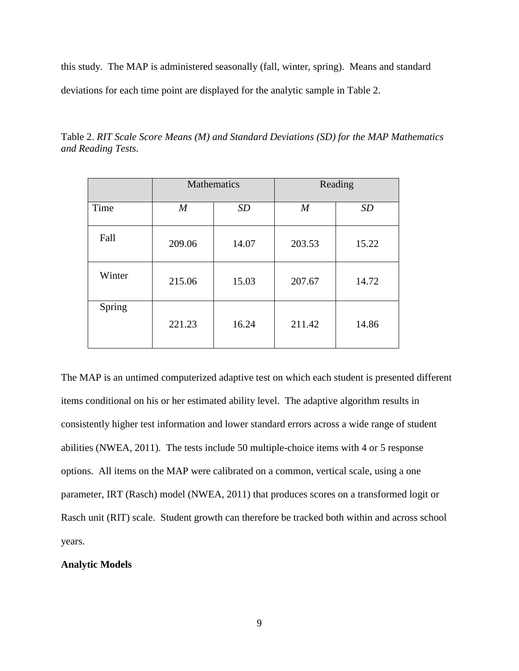this study. The MAP is administered seasonally (fall, winter, spring). Means and standard deviations for each time point are displayed for the analytic sample in Table 2.

|        | Mathematics      |           | Reading          |           |  |
|--------|------------------|-----------|------------------|-----------|--|
| Time   | $\boldsymbol{M}$ | <b>SD</b> | $\boldsymbol{M}$ | <b>SD</b> |  |
| Fall   | 209.06           | 14.07     | 203.53           | 15.22     |  |
| Winter | 215.06           | 15.03     | 207.67           | 14.72     |  |
| Spring | 221.23           | 16.24     | 211.42           | 14.86     |  |

Table 2. *RIT Scale Score Means (M) and Standard Deviations (SD) for the MAP Mathematics and Reading Tests.*

The MAP is an untimed computerized adaptive test on which each student is presented different items conditional on his or her estimated ability level. The adaptive algorithm results in consistently higher test information and lower standard errors across a wide range of student abilities (NWEA, 2011). The tests include 50 multiple-choice items with 4 or 5 response options. All items on the MAP were calibrated on a common, vertical scale, using a one parameter, IRT (Rasch) model (NWEA, 2011) that produces scores on a transformed logit or Rasch unit (RIT) scale. Student growth can therefore be tracked both within and across school years.

# **Analytic Models**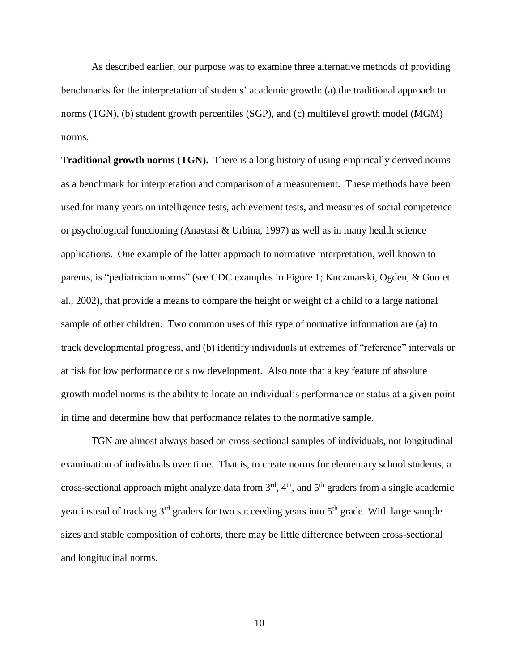As described earlier, our purpose was to examine three alternative methods of providing benchmarks for the interpretation of students' academic growth: (a) the traditional approach to norms (TGN), (b) student growth percentiles (SGP), and (c) multilevel growth model (MGM) norms.

**Traditional growth norms (TGN).** There is a long history of using empirically derived norms as a benchmark for interpretation and comparison of a measurement. These methods have been used for many years on intelligence tests, achievement tests, and measures of social competence or psychological functioning (Anastasi & Urbina, 1997) as well as in many health science applications. One example of the latter approach to normative interpretation, well known to parents, is "pediatrician norms" (see CDC examples in Figure 1; Kuczmarski, Ogden, & Guo et al., 2002), that provide a means to compare the height or weight of a child to a large national sample of other children. Two common uses of this type of normative information are (a) to track developmental progress, and (b) identify individuals at extremes of "reference" intervals or at risk for low performance or slow development. Also note that a key feature of absolute growth model norms is the ability to locate an individual's performance or status at a given point in time and determine how that performance relates to the normative sample.

TGN are almost always based on cross-sectional samples of individuals, not longitudinal examination of individuals over time. That is, to create norms for elementary school students, a cross-sectional approach might analyze data from  $3<sup>rd</sup>$ ,  $4<sup>th</sup>$ , and  $5<sup>th</sup>$  graders from a single academic year instead of tracking 3<sup>rd</sup> graders for two succeeding years into 5<sup>th</sup> grade. With large sample sizes and stable composition of cohorts, there may be little difference between cross-sectional and longitudinal norms.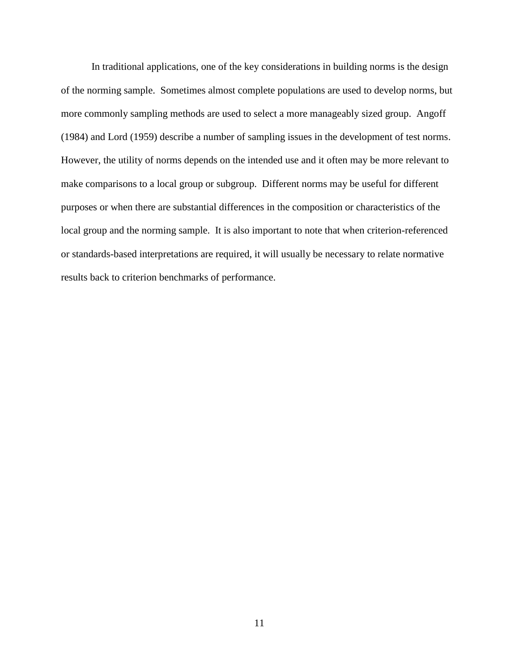In traditional applications, one of the key considerations in building norms is the design of the norming sample. Sometimes almost complete populations are used to develop norms, but more commonly sampling methods are used to select a more manageably sized group. Angoff (1984) and Lord (1959) describe a number of sampling issues in the development of test norms. However, the utility of norms depends on the intended use and it often may be more relevant to make comparisons to a local group or subgroup. Different norms may be useful for different purposes or when there are substantial differences in the composition or characteristics of the local group and the norming sample. It is also important to note that when criterion-referenced or standards-based interpretations are required, it will usually be necessary to relate normative results back to criterion benchmarks of performance.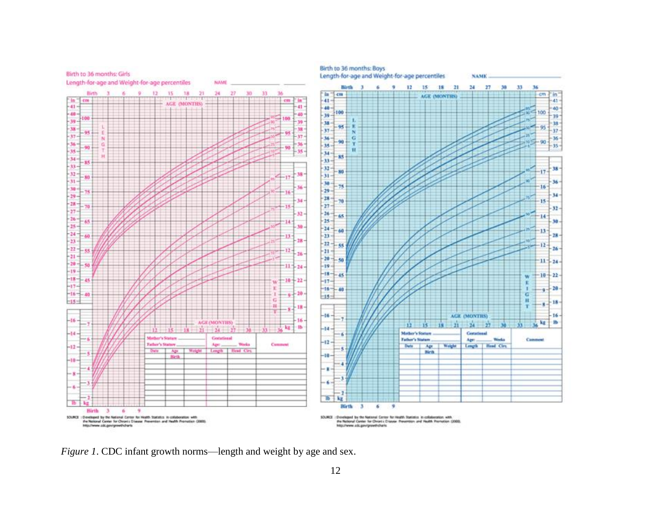

*Figure 1*. CDC infant growth norms—length and weight by age and sex.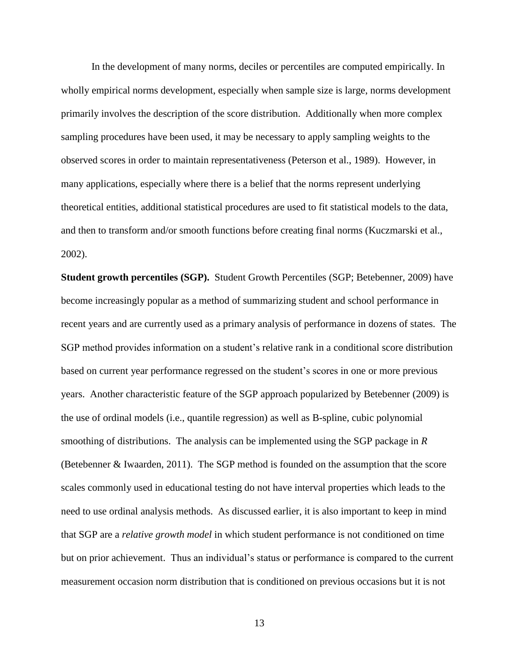In the development of many norms, deciles or percentiles are computed empirically. In wholly empirical norms development, especially when sample size is large, norms development primarily involves the description of the score distribution. Additionally when more complex sampling procedures have been used, it may be necessary to apply sampling weights to the observed scores in order to maintain representativeness (Peterson et al., 1989). However, in many applications, especially where there is a belief that the norms represent underlying theoretical entities, additional statistical procedures are used to fit statistical models to the data, and then to transform and/or smooth functions before creating final norms (Kuczmarski et al., 2002).

**Student growth percentiles (SGP).** Student Growth Percentiles (SGP; Betebenner, 2009) have become increasingly popular as a method of summarizing student and school performance in recent years and are currently used as a primary analysis of performance in dozens of states. The SGP method provides information on a student's relative rank in a conditional score distribution based on current year performance regressed on the student's scores in one or more previous years. Another characteristic feature of the SGP approach popularized by Betebenner (2009) is the use of ordinal models (i.e., quantile regression) as well as B-spline, cubic polynomial smoothing of distributions. The analysis can be implemented using the SGP package in *R* (Betebenner & Iwaarden, 2011). The SGP method is founded on the assumption that the score scales commonly used in educational testing do not have interval properties which leads to the need to use ordinal analysis methods. As discussed earlier, it is also important to keep in mind that SGP are a *relative growth model* in which student performance is not conditioned on time but on prior achievement. Thus an individual's status or performance is compared to the current measurement occasion norm distribution that is conditioned on previous occasions but it is not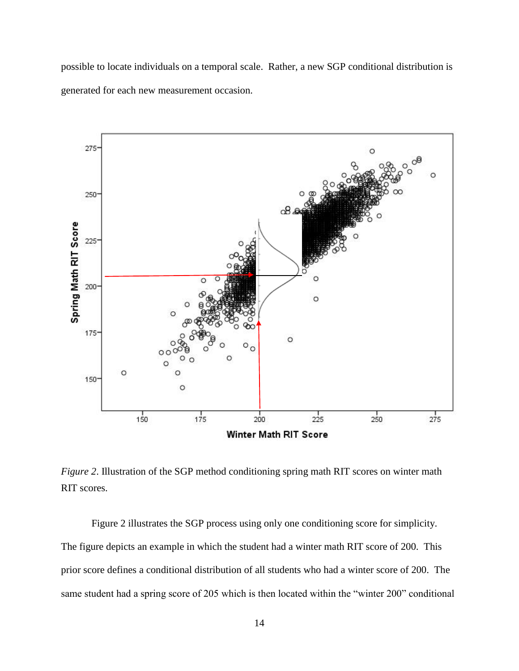possible to locate individuals on a temporal scale. Rather, a new SGP conditional distribution is generated for each new measurement occasion.



*Figure 2*. Illustration of the SGP method conditioning spring math RIT scores on winter math RIT scores.

Figure 2 illustrates the SGP process using only one conditioning score for simplicity. The figure depicts an example in which the student had a winter math RIT score of 200. This prior score defines a conditional distribution of all students who had a winter score of 200. The same student had a spring score of 205 which is then located within the "winter 200" conditional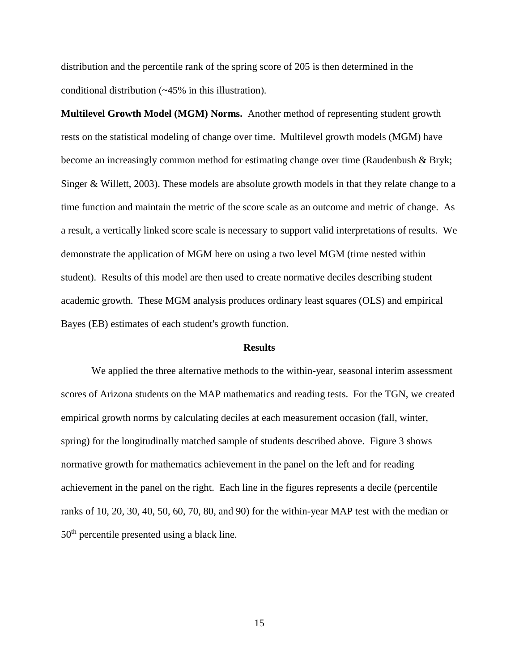distribution and the percentile rank of the spring score of 205 is then determined in the conditional distribution (~45% in this illustration).

**Multilevel Growth Model (MGM) Norms.** Another method of representing student growth rests on the statistical modeling of change over time. Multilevel growth models (MGM) have become an increasingly common method for estimating change over time (Raudenbush & Bryk; Singer & Willett, 2003). These models are absolute growth models in that they relate change to a time function and maintain the metric of the score scale as an outcome and metric of change. As a result, a vertically linked score scale is necessary to support valid interpretations of results. We demonstrate the application of MGM here on using a two level MGM (time nested within student). Results of this model are then used to create normative deciles describing student academic growth. These MGM analysis produces ordinary least squares (OLS) and empirical Bayes (EB) estimates of each student's growth function.

#### **Results**

We applied the three alternative methods to the within-year, seasonal interim assessment scores of Arizona students on the MAP mathematics and reading tests. For the TGN, we created empirical growth norms by calculating deciles at each measurement occasion (fall, winter, spring) for the longitudinally matched sample of students described above. Figure 3 shows normative growth for mathematics achievement in the panel on the left and for reading achievement in the panel on the right. Each line in the figures represents a decile (percentile ranks of 10, 20, 30, 40, 50, 60, 70, 80, and 90) for the within-year MAP test with the median or 50th percentile presented using a black line.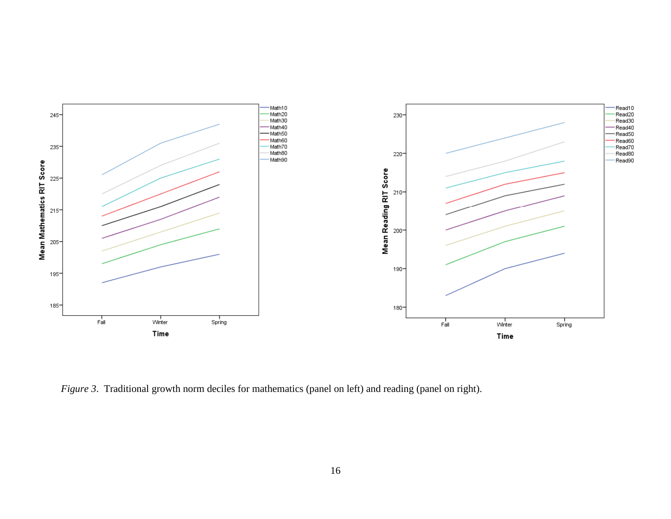

*Figure 3*. Traditional growth norm deciles for mathematics (panel on left) and reading (panel on right).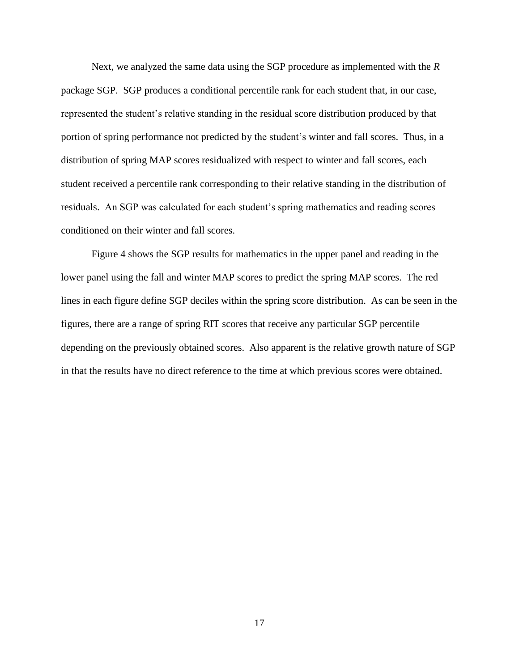Next, we analyzed the same data using the SGP procedure as implemented with the *R* package SGP. SGP produces a conditional percentile rank for each student that, in our case, represented the student's relative standing in the residual score distribution produced by that portion of spring performance not predicted by the student's winter and fall scores. Thus, in a distribution of spring MAP scores residualized with respect to winter and fall scores, each student received a percentile rank corresponding to their relative standing in the distribution of residuals. An SGP was calculated for each student's spring mathematics and reading scores conditioned on their winter and fall scores.

Figure 4 shows the SGP results for mathematics in the upper panel and reading in the lower panel using the fall and winter MAP scores to predict the spring MAP scores. The red lines in each figure define SGP deciles within the spring score distribution. As can be seen in the figures, there are a range of spring RIT scores that receive any particular SGP percentile depending on the previously obtained scores. Also apparent is the relative growth nature of SGP in that the results have no direct reference to the time at which previous scores were obtained.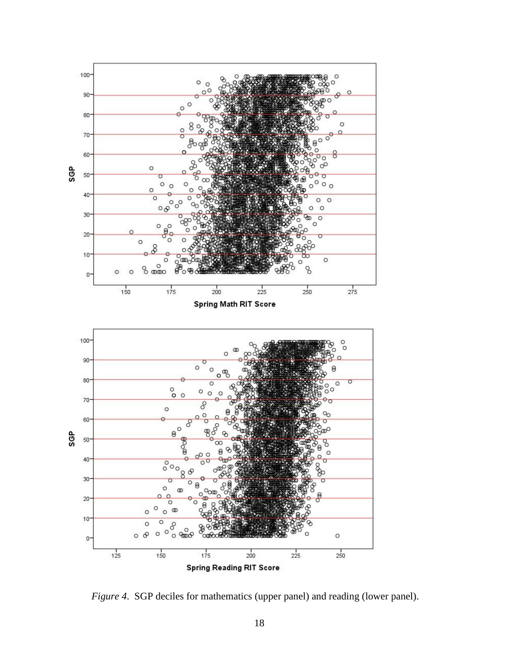

*Figure 4*. SGP deciles for mathematics (upper panel) and reading (lower panel).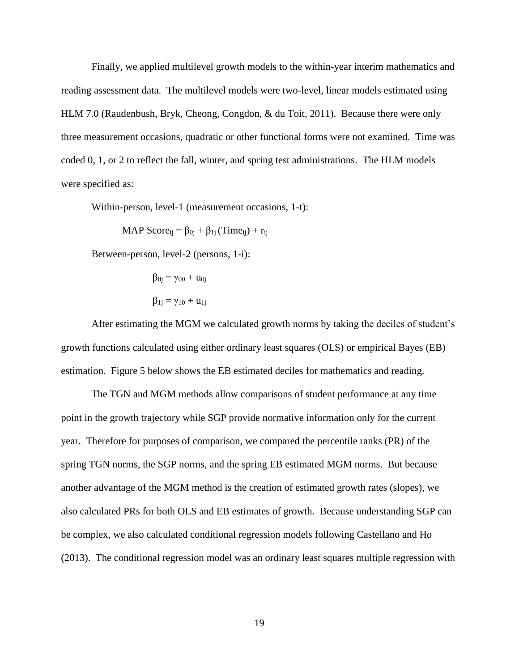Finally, we applied multilevel growth models to the within-year interim mathematics and reading assessment data. The multilevel models were two-level, linear models estimated using HLM 7.0 (Raudenbush, Bryk, Cheong, Congdon, & du Toit, 2011). Because there were only three measurement occasions, quadratic or other functional forms were not examined. Time was coded 0, 1, or 2 to reflect the fall, winter, and spring test administrations. The HLM models were specified as:

Within-person, level-1 (measurement occasions, 1-t):

MAP Score<sub>ij</sub> =  $\beta_{0i} + \beta_{1i}$  (Time<sub>ij</sub>) + r<sub>ij</sub>

Between-person, level-2 (persons, 1-i):

$$
\beta_{0j} = \gamma_{00} + u_{0j}
$$

$$
\beta_{1j} = \gamma_{10} + u_{1j}
$$

 After estimating the MGM we calculated growth norms by taking the deciles of student's growth functions calculated using either ordinary least squares (OLS) or empirical Bayes (EB) estimation. Figure 5 below shows the EB estimated deciles for mathematics and reading.

The TGN and MGM methods allow comparisons of student performance at any time point in the growth trajectory while SGP provide normative information only for the current year. Therefore for purposes of comparison, we compared the percentile ranks (PR) of the spring TGN norms, the SGP norms, and the spring EB estimated MGM norms. But because another advantage of the MGM method is the creation of estimated growth rates (slopes), we also calculated PRs for both OLS and EB estimates of growth. Because understanding SGP can be complex, we also calculated conditional regression models following Castellano and Ho (2013). The conditional regression model was an ordinary least squares multiple regression with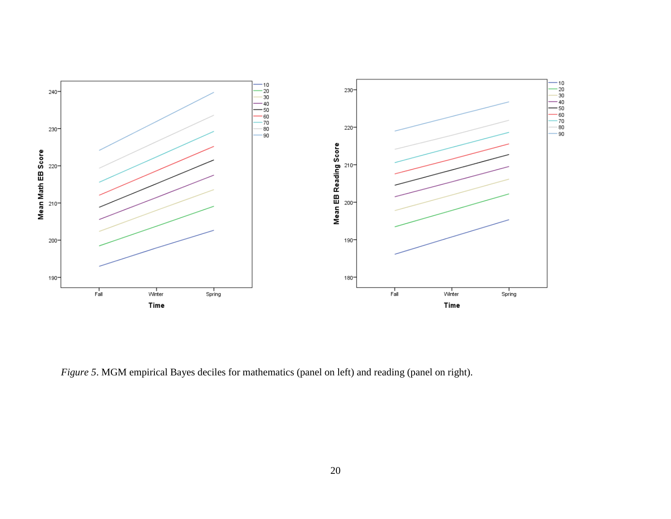

*Figure 5*. MGM empirical Bayes deciles for mathematics (panel on left) and reading (panel on right).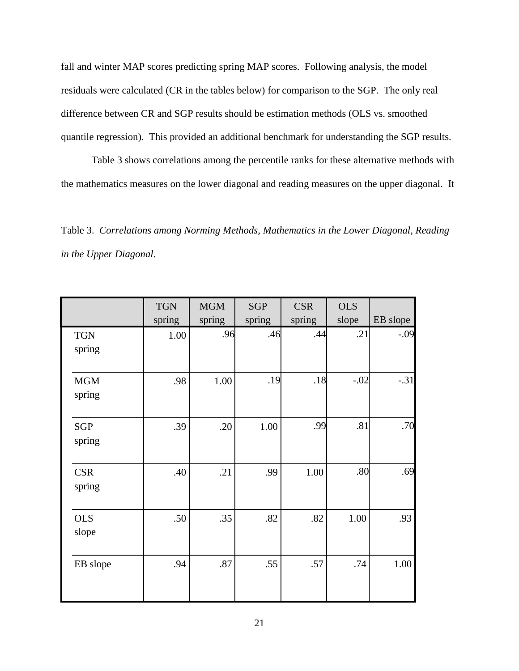fall and winter MAP scores predicting spring MAP scores. Following analysis, the model residuals were calculated (CR in the tables below) for comparison to the SGP. The only real difference between CR and SGP results should be estimation methods (OLS vs. smoothed quantile regression). This provided an additional benchmark for understanding the SGP results.

Table 3 shows correlations among the percentile ranks for these alternative methods with the mathematics measures on the lower diagonal and reading measures on the upper diagonal. It

Table 3. *Correlations among Norming Methods, Mathematics in the Lower Diagonal, Reading in the Upper Diagonal*.

|            | <b>TGN</b> | <b>MGM</b> | <b>SGP</b> | <b>CSR</b> | <b>OLS</b> |          |
|------------|------------|------------|------------|------------|------------|----------|
|            | spring     | spring     | spring     | spring     | slope      | EB slope |
| <b>TGN</b> | 1.00       | .96        | .46        | .44        | .21        | $-.09$   |
| spring     |            |            |            |            |            |          |
|            |            |            |            |            |            |          |
| <b>MGM</b> | .98        | 1.00       | .19        | .18        | $-.02$     | $-.31$   |
| spring     |            |            |            |            |            |          |
|            |            |            |            |            |            |          |
| <b>SGP</b> | .39        | .20        | 1.00       | .99        | .81        | .70      |
| spring     |            |            |            |            |            |          |
|            |            |            |            |            |            |          |
| <b>CSR</b> | .40        | .21        | .99        | 1.00       | .80        | .69      |
| spring     |            |            |            |            |            |          |
|            |            |            |            |            |            |          |
| <b>OLS</b> | .50        | .35        | .82        | .82        | 1.00       | .93      |
| slope      |            |            |            |            |            |          |
|            |            |            |            |            |            |          |
| EB slope   | .94        | .87        | .55        | .57        | .74        | 1.00     |
|            |            |            |            |            |            |          |
|            |            |            |            |            |            |          |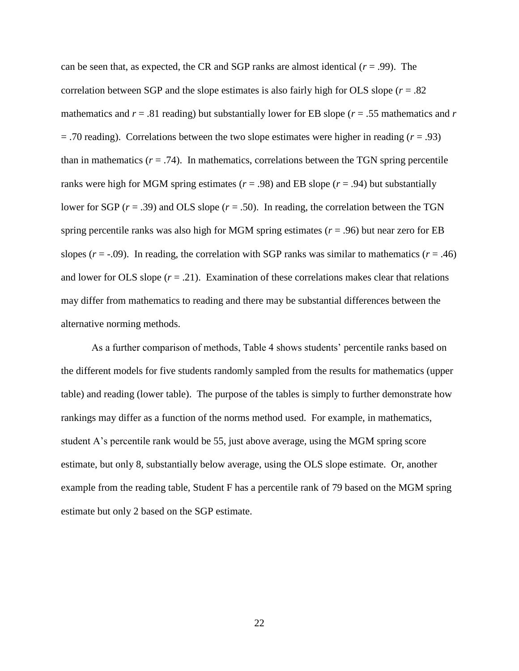can be seen that, as expected, the CR and SGP ranks are almost identical  $(r = .99)$ . The correlation between SGP and the slope estimates is also fairly high for OLS slope  $(r = .82)$ mathematics and  $r = .81$  reading) but substantially lower for EB slope ( $r = .55$  mathematics and  $r = .81$ )  $=$  .70 reading). Correlations between the two slope estimates were higher in reading ( $r = .93$ ) than in mathematics  $(r = .74)$ . In mathematics, correlations between the TGN spring percentile ranks were high for MGM spring estimates ( $r = .98$ ) and EB slope ( $r = .94$ ) but substantially lower for SGP (*r* = .39) and OLS slope (*r* = .50). In reading, the correlation between the TGN spring percentile ranks was also high for MGM spring estimates (*r* = .96) but near zero for EB slopes ( $r = -0.09$ ). In reading, the correlation with SGP ranks was similar to mathematics ( $r = .46$ ) and lower for OLS slope  $(r = .21)$ . Examination of these correlations makes clear that relations may differ from mathematics to reading and there may be substantial differences between the alternative norming methods.

As a further comparison of methods, Table 4 shows students' percentile ranks based on the different models for five students randomly sampled from the results for mathematics (upper table) and reading (lower table). The purpose of the tables is simply to further demonstrate how rankings may differ as a function of the norms method used. For example, in mathematics, student A's percentile rank would be 55, just above average, using the MGM spring score estimate, but only 8, substantially below average, using the OLS slope estimate. Or, another example from the reading table, Student F has a percentile rank of 79 based on the MGM spring estimate but only 2 based on the SGP estimate.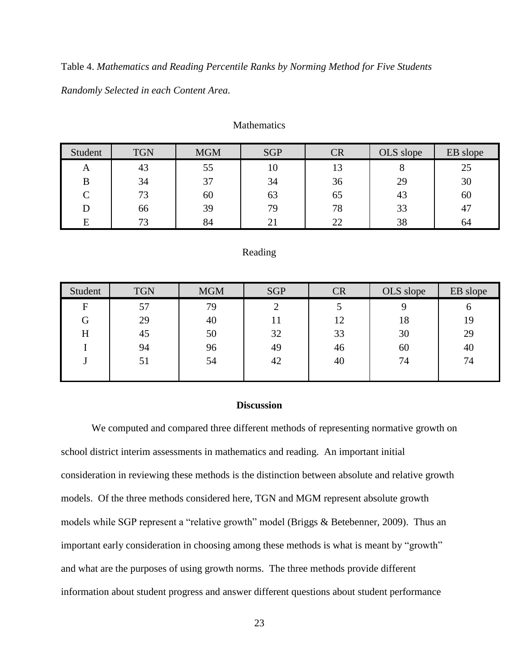Table 4. *Mathematics and Reading Percentile Ranks by Norming Method for Five Students Randomly Selected in each Content Area.*

| Student | <b>TGN</b> | <b>MGM</b> | <b>SGP</b> | CR | OLS slope | EB slope |
|---------|------------|------------|------------|----|-----------|----------|
| A       | 43         | 55         | 10         | 13 |           | 25       |
| B       | 34         | 37         | 34         | 36 | 29        | 30       |
| ⌒       | 73         | 60         | 63         | 65 | 43        | 60       |
|         | 66         | 39         | 79         | 78 | 33        | 47       |
| E       | 73         | 84         |            | 22 | 38        | 64       |

### **Mathematics**

### Reading

| Student        | <b>TGN</b> | <b>MGM</b> | <b>SGP</b> | <b>CR</b> | OLS slope | EB slope |
|----------------|------------|------------|------------|-----------|-----------|----------|
| $\overline{F}$ | 57         | 79         |            |           |           | O        |
| G              | 29         | 40         | 11         | 12        | 18        | 19       |
| Η              | 45         | 50         | 32         | 33        | 30        | 29       |
|                | 94         | 96         | 49         | 46        | 60        | 40       |
|                | 51         | 54         | 42         | 40        | 74        | 74       |
|                |            |            |            |           |           |          |

# **Discussion**

We computed and compared three different methods of representing normative growth on school district interim assessments in mathematics and reading. An important initial consideration in reviewing these methods is the distinction between absolute and relative growth models. Of the three methods considered here, TGN and MGM represent absolute growth models while SGP represent a "relative growth" model (Briggs & Betebenner, 2009). Thus an important early consideration in choosing among these methods is what is meant by "growth" and what are the purposes of using growth norms. The three methods provide different information about student progress and answer different questions about student performance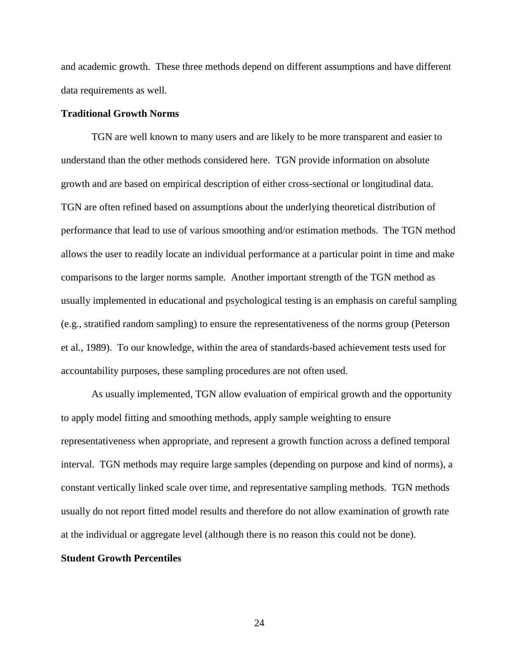and academic growth. These three methods depend on different assumptions and have different data requirements as well.

# **Traditional Growth Norms**

TGN are well known to many users and are likely to be more transparent and easier to understand than the other methods considered here. TGN provide information on absolute growth and are based on empirical description of either cross-sectional or longitudinal data. TGN are often refined based on assumptions about the underlying theoretical distribution of performance that lead to use of various smoothing and/or estimation methods. The TGN method allows the user to readily locate an individual performance at a particular point in time and make comparisons to the larger norms sample. Another important strength of the TGN method as usually implemented in educational and psychological testing is an emphasis on careful sampling (e.g., stratified random sampling) to ensure the representativeness of the norms group (Peterson et al., 1989). To our knowledge, within the area of standards-based achievement tests used for accountability purposes, these sampling procedures are not often used.

As usually implemented, TGN allow evaluation of empirical growth and the opportunity to apply model fitting and smoothing methods, apply sample weighting to ensure representativeness when appropriate, and represent a growth function across a defined temporal interval. TGN methods may require large samples (depending on purpose and kind of norms), a constant vertically linked scale over time, and representative sampling methods. TGN methods usually do not report fitted model results and therefore do not allow examination of growth rate at the individual or aggregate level (although there is no reason this could not be done).

#### **Student Growth Percentiles**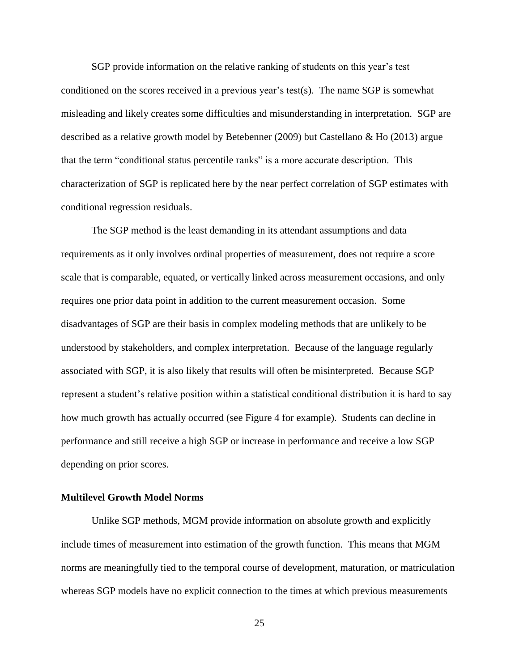SGP provide information on the relative ranking of students on this year's test conditioned on the scores received in a previous year's test(s). The name SGP is somewhat misleading and likely creates some difficulties and misunderstanding in interpretation. SGP are described as a relative growth model by Betebenner (2009) but Castellano & Ho (2013) argue that the term "conditional status percentile ranks" is a more accurate description. This characterization of SGP is replicated here by the near perfect correlation of SGP estimates with conditional regression residuals.

The SGP method is the least demanding in its attendant assumptions and data requirements as it only involves ordinal properties of measurement, does not require a score scale that is comparable, equated, or vertically linked across measurement occasions, and only requires one prior data point in addition to the current measurement occasion. Some disadvantages of SGP are their basis in complex modeling methods that are unlikely to be understood by stakeholders, and complex interpretation. Because of the language regularly associated with SGP, it is also likely that results will often be misinterpreted. Because SGP represent a student's relative position within a statistical conditional distribution it is hard to say how much growth has actually occurred (see Figure 4 for example). Students can decline in performance and still receive a high SGP or increase in performance and receive a low SGP depending on prior scores.

### **Multilevel Growth Model Norms**

Unlike SGP methods, MGM provide information on absolute growth and explicitly include times of measurement into estimation of the growth function. This means that MGM norms are meaningfully tied to the temporal course of development, maturation, or matriculation whereas SGP models have no explicit connection to the times at which previous measurements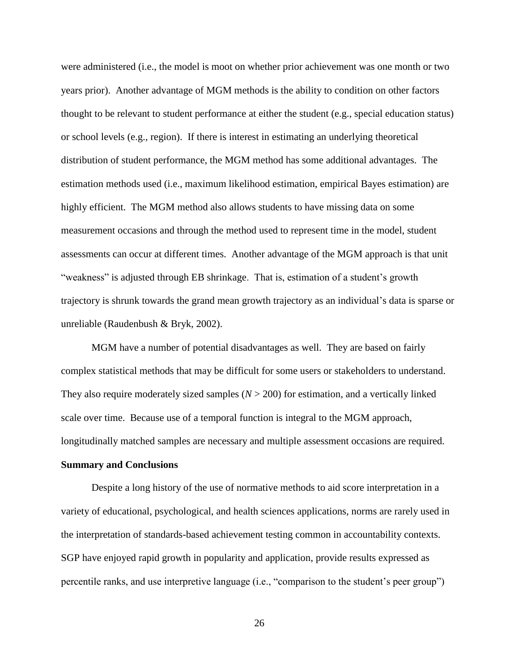were administered (i.e., the model is moot on whether prior achievement was one month or two years prior). Another advantage of MGM methods is the ability to condition on other factors thought to be relevant to student performance at either the student (e.g., special education status) or school levels (e.g., region). If there is interest in estimating an underlying theoretical distribution of student performance, the MGM method has some additional advantages. The estimation methods used (i.e., maximum likelihood estimation, empirical Bayes estimation) are highly efficient. The MGM method also allows students to have missing data on some measurement occasions and through the method used to represent time in the model, student assessments can occur at different times. Another advantage of the MGM approach is that unit "weakness" is adjusted through EB shrinkage. That is, estimation of a student's growth trajectory is shrunk towards the grand mean growth trajectory as an individual's data is sparse or unreliable (Raudenbush & Bryk, 2002).

MGM have a number of potential disadvantages as well. They are based on fairly complex statistical methods that may be difficult for some users or stakeholders to understand. They also require moderately sized samples  $(N > 200)$  for estimation, and a vertically linked scale over time. Because use of a temporal function is integral to the MGM approach, longitudinally matched samples are necessary and multiple assessment occasions are required.

# **Summary and Conclusions**

Despite a long history of the use of normative methods to aid score interpretation in a variety of educational, psychological, and health sciences applications, norms are rarely used in the interpretation of standards-based achievement testing common in accountability contexts. SGP have enjoyed rapid growth in popularity and application, provide results expressed as percentile ranks, and use interpretive language (i.e., "comparison to the student's peer group")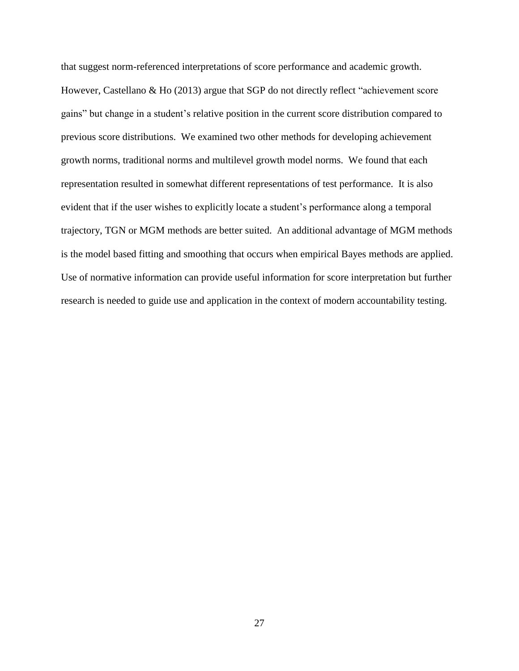that suggest norm-referenced interpretations of score performance and academic growth. However, Castellano & Ho (2013) argue that SGP do not directly reflect "achievement score gains" but change in a student's relative position in the current score distribution compared to previous score distributions. We examined two other methods for developing achievement growth norms, traditional norms and multilevel growth model norms. We found that each representation resulted in somewhat different representations of test performance. It is also evident that if the user wishes to explicitly locate a student's performance along a temporal trajectory, TGN or MGM methods are better suited. An additional advantage of MGM methods is the model based fitting and smoothing that occurs when empirical Bayes methods are applied. Use of normative information can provide useful information for score interpretation but further research is needed to guide use and application in the context of modern accountability testing.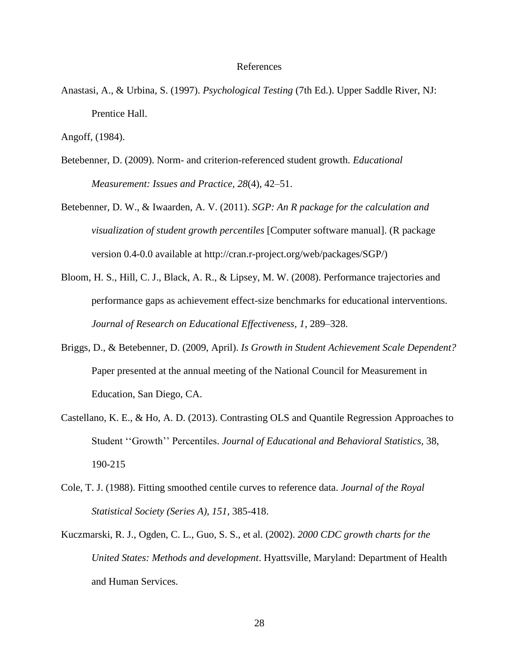### References

Anastasi, A., & Urbina, S. (1997). *Psychological Testing* (7th Ed.). Upper Saddle River, NJ: Prentice Hall.

Angoff, (1984).

- Betebenner, D. (2009). Norm- and criterion-referenced student growth. *Educational Measurement: Issues and Practice, 28*(4), 42–51.
- Betebenner, D. W., & Iwaarden, A. V. (2011). *SGP: An R package for the calculation and visualization of student growth percentiles* [Computer software manual]. (R package version 0.4-0.0 available at http://cran.r-project.org/web/packages/SGP/)
- Bloom, H. S., Hill, C. J., Black, A. R., & Lipsey, M. W. (2008). Performance trajectories and performance gaps as achievement effect-size benchmarks for educational interventions. *Journal of Research on Educational Effectiveness, 1*, 289–328.
- Briggs, D., & Betebenner, D. (2009, April). *Is Growth in Student Achievement Scale Dependent?* Paper presented at the annual meeting of the National Council for Measurement in Education, San Diego, CA.
- Castellano, K. E., & Ho, A. D. (2013). Contrasting OLS and Quantile Regression Approaches to Student ''Growth'' Percentiles. *Journal of Educational and Behavioral Statistics,* 38, 190-215
- Cole, T. J. (1988). Fitting smoothed centile curves to reference data. *Journal of the Royal Statistical Society (Series A), 151*, 385-418.
- Kuczmarski, R. J., Ogden, C. L., Guo, S. S., et al. (2002). *2000 CDC growth charts for the United States: Methods and development*. Hyattsville, Maryland: Department of Health and Human Services.